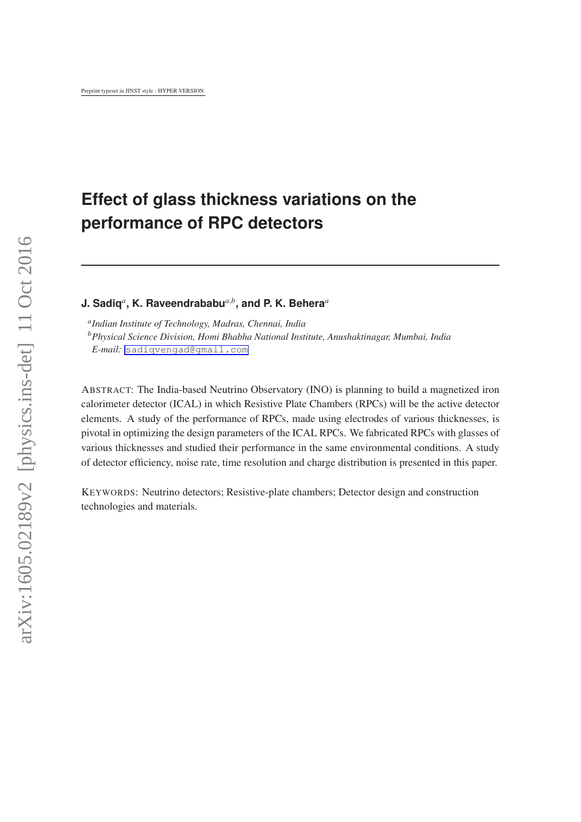# **Effect of glass thickness variations on the performance of RPC detectors**

**J. Sadiq***<sup>a</sup>* **, K. Raveendrababu***a*,*<sup>b</sup>* **, and P. K. Behera***<sup>a</sup>*

*a Indian Institute of Technology, Madras, Chennai, India <sup>b</sup>Physical Science Division, Homi Bhabha National Institute, Anushaktinagar, Mumbai, India E-mail:* [sadiqvengad@gmail.com](mailto:sadiqvengad@gmail.com)

ABSTRACT: The India-based Neutrino Observatory (INO) is planning to build a magnetized iron calorimeter detector (ICAL) in which Resistive Plate Chambers (RPCs) will be the active detector elements. A study of the performance of RPCs, made using electrodes of various thicknesses, is pivotal in optimizing the design parameters of the ICAL RPCs. We fabricated RPCs with glasses of various thicknesses and studied their performance in the same environmental conditions. A study of detector efficiency, noise rate, time resolution and charge distribution is presented in this paper.

KEYWORDS: Neutrino detectors; Resistive-plate chambers; Detector design and construction technologies and materials.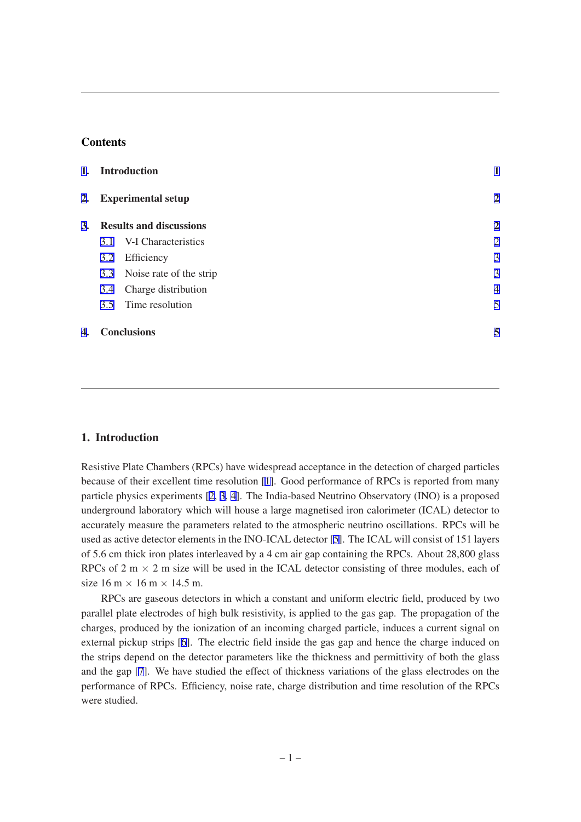### **Contents**

| 1.<br>2.<br>3. | <b>Introduction</b><br><b>Experimental setup</b><br><b>Results and discussions</b> |                             |                |
|----------------|------------------------------------------------------------------------------------|-----------------------------|----------------|
|                |                                                                                    |                             | $\overline{2}$ |
|                |                                                                                    |                             | $\overline{2}$ |
|                | 3.1                                                                                | V-I Characteristics         | $\overline{2}$ |
|                | 3.2                                                                                | Efficiency                  | 3              |
|                |                                                                                    | 3.3 Noise rate of the strip | 3              |
|                | 3.4                                                                                | Charge distribution         | $\overline{4}$ |
|                | 3.5                                                                                | Time resolution             | 5              |
| 4.             | <b>Conclusions</b>                                                                 |                             |                |

## 1. Introduction

Resistive Plate Chambers (RPCs) have widespread acceptance in the detection of charged particles because of their excellent time resolution [[1\]](#page-6-0). Good performance of RPCs is reported from many particle physics experiments [\[2,](#page-6-0) [3,](#page-6-0) [4](#page-6-0)]. The India-based Neutrino Observatory (INO) is a proposed underground laboratory which will house a large magnetised iron calorimeter (ICAL) detector to accurately measure the parameters related to the atmospheric neutrino oscillations. RPCs will be used as active detector elements in the INO-ICAL detector [[5](#page-6-0)]. The ICAL will consist of 151 layers of 5.6 cm thick iron plates interleaved by a 4 cm air gap containing the RPCs. About 28,800 glass RPCs of 2 m  $\times$  2 m size will be used in the ICAL detector consisting of three modules, each of size  $16 \text{ m} \times 16 \text{ m} \times 14.5 \text{ m}$ .

RPCs are gaseous detectors in which a constant and uniform electric field, produced by two parallel plate electrodes of high bulk resistivity, is applied to the gas gap. The propagation of the charges, produced by the ionization of an incoming charged particle, induces a current signal on external pickup strips [[6](#page-6-0)]. The electric field inside the gas gap and hence the charge induced on the strips depend on the detector parameters like the thickness and permittivity of both the glass and the gap [[7](#page-6-0)]. We have studied the effect of thickness variations of the glass electrodes on the performance of RPCs. Efficiency, noise rate, charge distribution and time resolution of the RPCs were studied.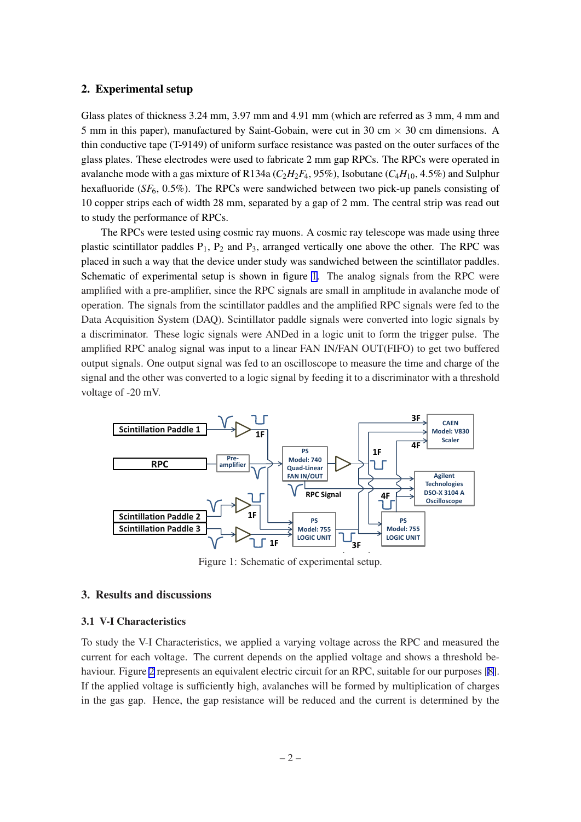#### <span id="page-2-0"></span>2. Experimental setup

Glass plates of thickness 3.24 mm, 3.97 mm and 4.91 mm (which are referred as 3 mm, 4 mm and 5 mm in this paper), manufactured by Saint-Gobain, were cut in 30 cm  $\times$  30 cm dimensions. A thin conductive tape (T-9149) of uniform surface resistance was pasted on the outer surfaces of the glass plates. These electrodes were used to fabricate 2 mm gap RPCs. The RPCs were operated in avalanche mode with a gas mixture of R134a ( $C_2H_2F_4$ , 95%), Isobutane ( $C_4H_{10}$ , 4.5%) and Sulphur hexafluoride (*SF*6, 0.5%). The RPCs were sandwiched between two pick-up panels consisting of 10 copper strips each of width 28 mm, separated by a gap of 2 mm. The central strip was read out to study the performance of RPCs.

The RPCs were tested using cosmic ray muons. A cosmic ray telescope was made using three plastic scintillator paddles  $P_1$ ,  $P_2$  and  $P_3$ , arranged vertically one above the other. The RPC was placed in such a way that the device under study was sandwiched between the scintillator paddles. Schematic of experimental setup is shown in figure 1. The analog signals from the RPC were amplified with a pre-amplifier, since the RPC signals are small in amplitude in avalanche mode of operation. The signals from the scintillator paddles and the amplified RPC signals were fed to the Data Acquisition System (DAQ). Scintillator paddle signals were converted into logic signals by a discriminator. These logic signals were ANDed in a logic unit to form the trigger pulse. The amplified RPC analog signal was input to a linear FAN IN/FAN OUT(FIFO) to get two buffered output signals. One output signal was fed to an oscilloscope to measure the time and charge of the signal and the other was converted to a logic signal by feeding it to a discriminator with a threshold voltage of -20 mV.



Figure 1: Schematic of experimental setup.

## 3. Results and discussions

#### 3.1 V-I Characteristics

To study the V-I Characteristics, we applied a varying voltage across the RPC and measured the current for each voltage. The current depends on the applied voltage and shows a threshold be-haviour. Figure [2](#page-3-0) represents an equivalent electric circuit for an RPC, suitable for our purposes [\[8\]](#page-6-0). If the applied voltage is sufficiently high, avalanches will be formed by multiplication of charges in the gas gap. Hence, the gap resistance will be reduced and the current is determined by the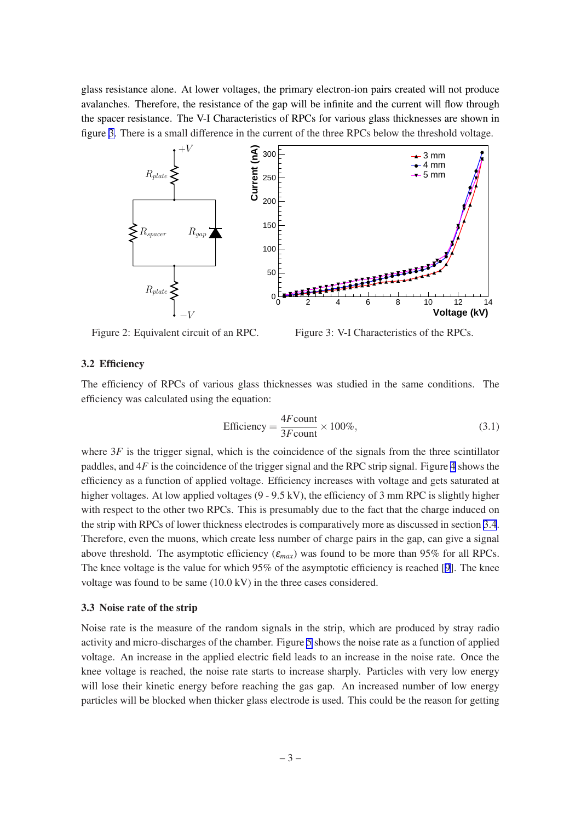<span id="page-3-0"></span>glass resistance alone. At lower voltages, the primary electron-ion pairs created will not produce avalanches. Therefore, the resistance of the gap will be infinite and the current will flow through the spacer resistance. The V-I Characteristics of RPCs for various glass thicknesses are shown in figure 3. There is a small difference in the current of the three RPCs below the threshold voltage.



Figure 2: Equivalent circuit of an RPC.

Figure 3: V-I Characteristics of the RPCs.

#### 3.2 Efficiency

The efficiency of RPCs of various glass thicknesses was studied in the same conditions. The efficiency was calculated using the equation:

Efficiency = 
$$
\frac{4F\text{count}}{3F\text{count}} \times 100\%
$$
, (3.1)

where 3F is the trigger signal, which is the coincidence of the signals from the three scintillator paddles, and 4*F* is the coincidence of the trigger signal and the RPC strip signal. Figure [4](#page-4-0) shows the efficiency as a function of applied voltage. Efficiency increases with voltage and gets saturated at higher voltages. At low applied voltages (9 - 9.5 kV), the efficiency of 3 mm RPC is slightly higher with respect to the other two RPCs. This is presumably due to the fact that the charge induced on the strip with RPCs of lower thickness electrodes is comparatively more as discussed in section [3.4](#page-4-0). Therefore, even the muons, which create less number of charge pairs in the gap, can give a signal above threshold. The asymptotic efficiency  $(\varepsilon_{max})$  was found to be more than 95% for all RPCs. The knee voltage is the value for which 95% of the asymptotic efficiency is reached [\[9\]](#page-6-0). The knee voltage was found to be same (10.0 kV) in the three cases considered.

#### 3.3 Noise rate of the strip

Noise rate is the measure of the random signals in the strip, which are produced by stray radio activity and micro-discharges of the chamber. Figure [5](#page-4-0) shows the noise rate as a function of applied voltage. An increase in the applied electric field leads to an increase in the noise rate. Once the knee voltage is reached, the noise rate starts to increase sharply. Particles with very low energy will lose their kinetic energy before reaching the gas gap. An increased number of low energy particles will be blocked when thicker glass electrode is used. This could be the reason for getting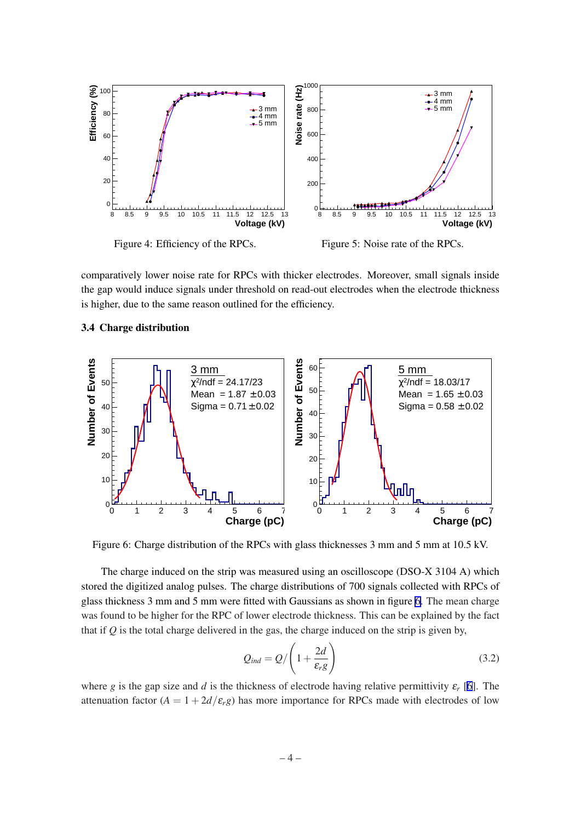<span id="page-4-0"></span>

comparatively lower noise rate for RPCs with thicker electrodes. Moreover, small signals inside the gap would induce signals under threshold on read-out electrodes when the electrode thickness is higher, due to the same reason outlined for the efficiency.

#### 3.4 Charge distribution



Figure 6: Charge distribution of the RPCs with glass thicknesses 3 mm and 5 mm at 10.5 kV.

The charge induced on the strip was measured using an oscilloscope (DSO-X 3104 A) which stored the digitized analog pulses. The charge distributions of 700 signals collected with RPCs of glass thickness 3 mm and 5 mm were fitted with Gaussians as shown in figure 6. The mean charge was found to be higher for the RPC of lower electrode thickness. This can be explained by the fact that if *Q* is the total charge delivered in the gas, the charge induced on the strip is given by,

$$
Q_{ind} = Q / \left(1 + \frac{2d}{\varepsilon_r g}\right) \tag{3.2}
$$

where *g* is the gap size and *d* is the thickness of electrode having relative permittivity  $\varepsilon_r$  [[6](#page-6-0)]. The attenuation factor  $(A = 1 + 2d/\varepsilon_r g)$  has more importance for RPCs made with electrodes of low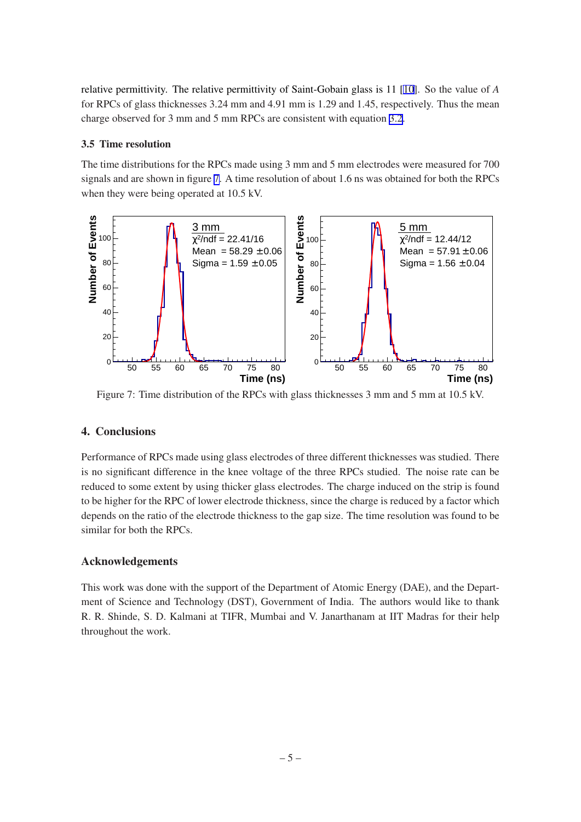<span id="page-5-0"></span>relative permittivity. The relative permittivity of Saint-Gobain glass is 11 [\[10](#page-6-0)]. So the value of *A* for RPCs of glass thicknesses 3.24 mm and 4.91 mm is 1.29 and 1.45, respectively. Thus the mean charge observed for 3 mm and 5 mm RPCs are consistent with equation [3.2.](#page-4-0)

# 3.5 Time resolution

The time distributions for the RPCs made using 3 mm and 5 mm electrodes were measured for 700 signals and are shown in figure 7. A time resolution of about 1.6 ns was obtained for both the RPCs when they were being operated at 10.5 kV.



Figure 7: Time distribution of the RPCs with glass thicknesses 3 mm and 5 mm at 10.5 kV.

# 4. Conclusions

Performance of RPCs made using glass electrodes of three different thicknesses was studied. There is no significant difference in the knee voltage of the three RPCs studied. The noise rate can be reduced to some extent by using thicker glass electrodes. The charge induced on the strip is found to be higher for the RPC of lower electrode thickness, since the charge is reduced by a factor which depends on the ratio of the electrode thickness to the gap size. The time resolution was found to be similar for both the RPCs.

# Acknowledgements

This work was done with the support of the Department of Atomic Energy (DAE), and the Department of Science and Technology (DST), Government of India. The authors would like to thank R. R. Shinde, S. D. Kalmani at TIFR, Mumbai and V. Janarthanam at IIT Madras for their help throughout the work.